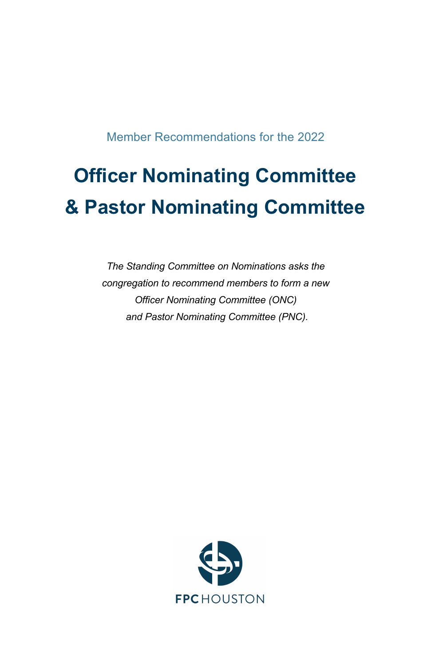Member Recommendations for the 2022

# **Officer Nominating Committee & Pastor Nominating Committee**

*The Standing Committee on Nominations asks the congregation to recommend members to form a new Officer Nominating Committee (ONC) and Pastor Nominating Committee (PNC).*

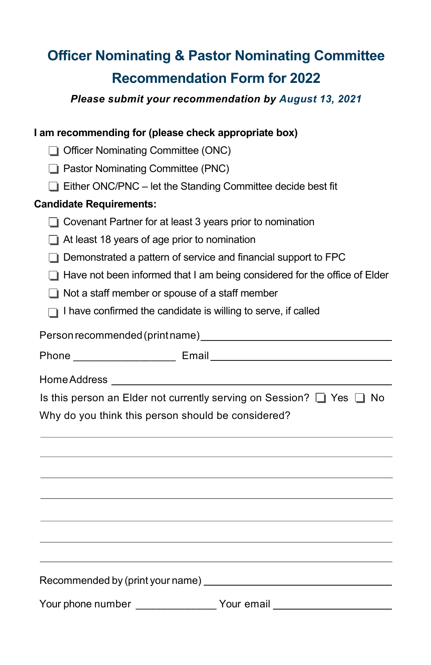# **Officer Nominating & Pastor Nominating Committee Recommendation Form for 2022**

*Please submit your recommendation by August 13, 2021*

#### **I am recommending for (please check appropriate box)**

□ Officer Nominating Committee (ONC)

 $\Box$  Pastor Nominating Committee (PNC)

 $\Box$  Either ONC/PNC – let the Standing Committee decide best fit

#### **Candidate Requirements:**

 $\Box$  Covenant Partner for at least 3 years prior to nomination

 $\Box$  At least 18 years of age prior to nomination

- $\Box$  Demonstrated a pattern of service and financial support to FPC
- $\Box$  Have not been informed that I am being considered for the office of Elder
- $\Box$  Not a staff member or spouse of a staff member
- $\Box$  I have confirmed the candidate is willing to serve, if called

Person recommended(printname)

| Phone | $-1$<br>$- \cdot \cdot \cdot - \cdot$ |  |
|-------|---------------------------------------|--|
|       |                                       |  |

HomeAddress

Is this person an Elder not currently serving on Session?  $\Box$  Yes  $\Box$  No

Why do you think this person should be considered?

Recommended by (print your name) Your phone number \_\_\_\_\_\_\_\_\_\_\_\_\_\_\_\_Your email \_\_\_\_\_\_\_\_\_\_\_\_\_\_\_\_\_\_\_\_\_\_\_\_\_\_\_\_\_\_\_\_\_\_\_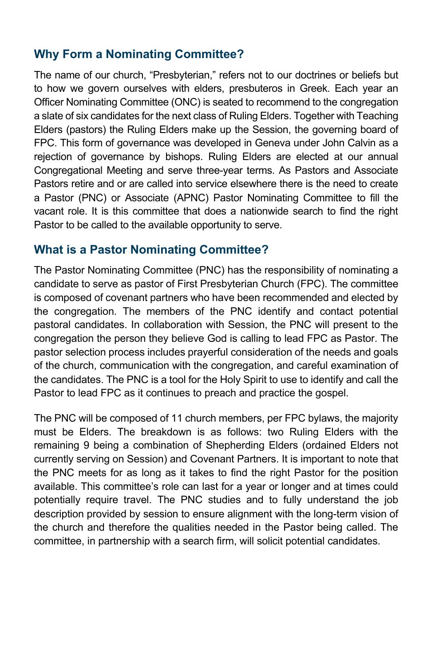# **Why Form a Nominating Committee?**

The name of our church, "Presbyterian," refers not to our doctrines or beliefs but to how we govern ourselves with elders, presbuteros in Greek. Each year an Officer Nominating Committee (ONC) is seated to recommend to the congregation a slate of six candidates for the next class of Ruling Elders. Together with Teaching Elders (pastors) the Ruling Elders make up the Session, the governing board of FPC. This form of governance was developed in Geneva under John Calvin as a rejection of governance by bishops. Ruling Elders are elected at our annual Congregational Meeting and serve three-year terms. As Pastors and Associate Pastors retire and or are called into service elsewhere there is the need to create a Pastor (PNC) or Associate (APNC) Pastor Nominating Committee to fill the vacant role. It is this committee that does a nationwide search to find the right Pastor to be called to the available opportunity to serve.

#### **What is a Pastor Nominating Committee?**

The Pastor Nominating Committee (PNC) has the responsibility of nominating a candidate to serve as pastor of First Presbyterian Church (FPC). The committee is composed of covenant partners who have been recommended and elected by the congregation. The members of the PNC identify and contact potential pastoral candidates. In collaboration with Session, the PNC will present to the congregation the person they believe God is calling to lead FPC as Pastor. The pastor selection process includes prayerful consideration of the needs and goals of the church, communication with the congregation, and careful examination of the candidates. The PNC is a tool for the Holy Spirit to use to identify and call the Pastor to lead FPC as it continues to preach and practice the gospel.

The PNC will be composed of 11 church members, per FPC bylaws, the majority must be Elders. The breakdown is as follows: two Ruling Elders with the remaining 9 being a combination of Shepherding Elders (ordained Elders not currently serving on Session) and Covenant Partners. It is important to note that the PNC meets for as long as it takes to find the right Pastor for the position available. This committee's role can last for a year or longer and at times could potentially require travel. The PNC studies and to fully understand the job description provided by session to ensure alignment with the long-term vision of the church and therefore the qualities needed in the Pastor being called. The committee, in partnership with a search firm, will solicit potential candidates.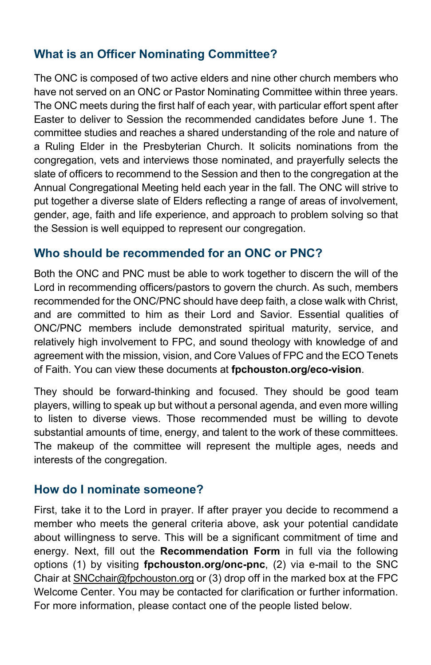# **What is an Officer Nominating Committee?**

The ONC is composed of two active elders and nine other church members who have not served on an ONC or Pastor Nominating Committee within three years. The ONC meets during the first half of each year, with particular effort spent after Easter to deliver to Session the recommended candidates before June 1. The committee studies and reaches a shared understanding of the role and nature of a Ruling Elder in the Presbyterian Church. It solicits nominations from the congregation, vets and interviews those nominated, and prayerfully selects the slate of officers to recommend to the Session and then to the congregation at the Annual Congregational Meeting held each year in the fall. The ONC will strive to put together a diverse slate of Elders reflecting a range of areas of involvement, gender, age, faith and life experience, and approach to problem solving so that the Session is well equipped to represent our congregation.

#### **Who should be recommended for an ONC or PNC?**

Both the ONC and PNC must be able to work together to discern the will of the Lord in recommending officers/pastors to govern the church. As such, members recommended for the ONC/PNC should have deep faith, a close walk with Christ, and are committed to him as their Lord and Savior. Essential qualities of ONC/PNC members include demonstrated spiritual maturity, service, and relatively high involvement to FPC, and sound theology with knowledge of and agreement with the mission, vision, and Core Values of FPC and the ECO Tenets of Faith. You can view these documents at **fpchouston.org/eco-vision**.

They should be forward-thinking and focused. They should be good team players, willing to speak up but without a personal agenda, and even more willing to listen to diverse views. Those recommended must be willing to devote substantial amounts of time, energy, and talent to the work of these committees. The makeup of the committee will represent the multiple ages, needs and interests of the congregation.

#### **How do I nominate someone?**

First, take it to the Lord in prayer. If after prayer you decide to recommend a member who meets the general criteria above, ask your potential candidate about willingness to serve. This will be a significant commitment of time and energy. Next, fill out the **Recommendation Form** in full via the following options (1) by visiting **fpchouston.org/onc-pnc**, (2) via e-mail to the SNC Chair at SNCchair@fpchouston.org or (3) drop off in the marked box at the FPC Welcome Center. You may be contacted for clarification or further information. For more information, please contact one of the people listed below.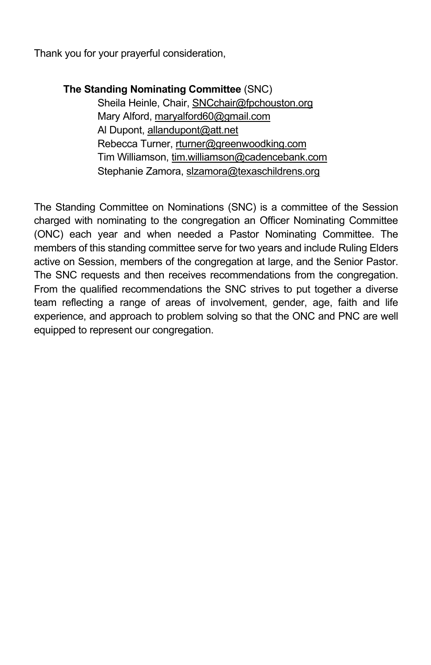Thank you for your prayerful consideration,

**The Standing Nominating Committee** (SNC) Sheila Heinle, Chair, SNCchair@fpchouston.org Mary Alford, maryalford60@gmail.com Al Dupont, allandupont@att.net Rebecca Turner, rturner@greenwoodking.com Tim Williamson, tim.williamson@cadencebank.com Stephanie Zamora, slzamora@texaschildrens.org

The Standing Committee on Nominations (SNC) is a committee of the Session charged with nominating to the congregation an Officer Nominating Committee (ONC) each year and when needed a Pastor Nominating Committee. The members of this standing committee serve for two years and include Ruling Elders active on Session, members of the congregation at large, and the Senior Pastor. The SNC requests and then receives recommendations from the congregation. From the qualified recommendations the SNC strives to put together a diverse team reflecting a range of areas of involvement, gender, age, faith and life experience, and approach to problem solving so that the ONC and PNC are well equipped to represent our congregation.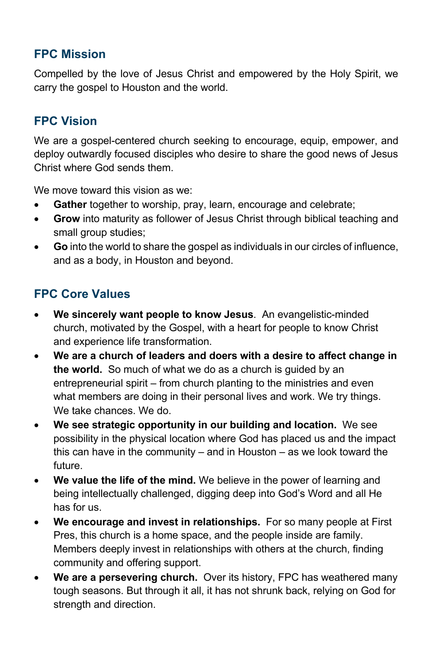# **FPC Mission**

Compelled by the love of Jesus Christ and empowered by the Holy Spirit, we carry the gospel to Houston and the world.

#### **FPC Vision**

We are a gospel-centered church seeking to encourage, equip, empower, and deploy outwardly focused disciples who desire to share the good news of Jesus Christ where God sends them.

We move toward this vision as we:

- Gather together to worship, pray, learn, encourage and celebrate;
- **Grow** into maturity as follower of Jesus Christ through biblical teaching and small group studies;
- **Go** into the world to share the gospel as individuals in our circles of influence, and as a body, in Houston and beyond.

### **FPC Core Values**

- **We sincerely want people to know Jesus**. An evangelistic-minded church, motivated by the Gospel, with a heart for people to know Christ and experience life transformation.
- **We are a church of leaders and doers with a desire to affect change in the world.** So much of what we do as a church is guided by an entrepreneurial spirit – from church planting to the ministries and even what members are doing in their personal lives and work. We try things. We take chances. We do.
- **We see strategic opportunity in our building and location.** We see possibility in the physical location where God has placed us and the impact this can have in the community – and in Houston – as we look toward the future.
- **We value the life of the mind.** We believe in the power of learning and being intellectually challenged, digging deep into God's Word and all He has for us.
- **We encourage and invest in relationships.** For so many people at First Pres, this church is a home space, and the people inside are family. Members deeply invest in relationships with others at the church, finding community and offering support.
- **We are a persevering church.** Over its history, FPC has weathered many tough seasons. But through it all, it has not shrunk back, relying on God for strength and direction.